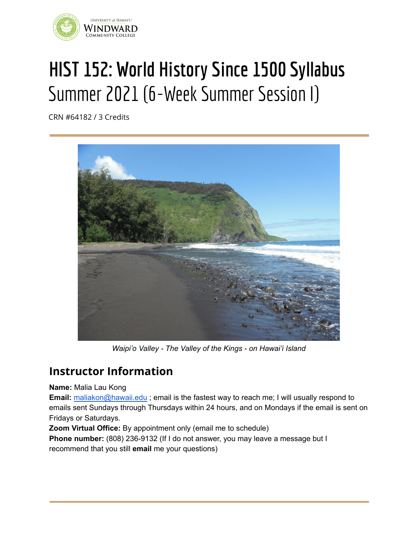

# **HIST 152: World History Since 1500 Syllabus** Summer 2021 (6-Week Summer Session I)

CRN #64182 / 3 Credits



*Waipi'o Valley - The Valley of the Kings - on Hawai'i Island*

# **Instructor Information**

**Name:** Malia Lau Kong

**Email:** [maliakon@hawaii.edu](mailto:maliakon@hawaii.edu); email is the fastest way to reach me; I will usually respond to emails sent Sundays through Thursdays within 24 hours, and on Mondays if the email is sent on Fridays or Saturdays.

**Zoom Virtual Office:** By appointment only (email me to schedule)

**Phone number:** (808) 236-9132 (If I do not answer, you may leave a message but I recommend that you still **email** me your questions)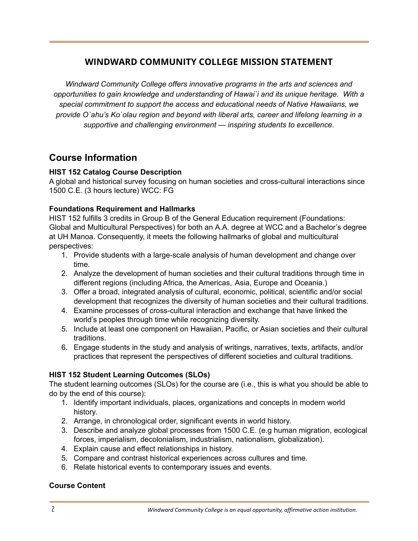# **WINDWARD COMMUNITY COLLEGE MISSION STATEMENT**

*Windward Community College offers innovative programs in the arts and sciences and opportunities to gain knowledge and understanding of Hawai`i and its unique heritage. With a special commitment to support the access and educational needs of Native Hawaiians, we provide O`ahu's Ko`olau region and beyond with liberal arts, career and lifelong learning in a supportive and challenging environment — inspiring students to excellence.*

# **Course Information**

#### **HIST 152 Catalog Course Description**

A global and historical survey focusing on human societies and cross-cultural interactions since 1500 C.E. (3 hours lecture) WCC: FG

#### **Foundations Requirement and Hallmarks**

HIST 152 fulfills 3 credits in Group B of the General Education requirement (Foundations: Global and Multicultural Perspectives) for both an A.A. degree at WCC and a Bachelor's degree at UH Manoa. Consequently, it meets the following hallmarks of global and multicultural perspectives:

- 1. Provide students with a large-scale analysis of human development and change over time.
- 2. Analyze the development of human societies and their cultural traditions through time in different regions (including Africa, the Americas, Asia, Europe and Oceania.)
- 3. Offer a broad, integrated analysis of cultural, economic, political, scientific and/or social development that recognizes the diversity of human societies and their cultural traditions.
- 4. Examine processes of cross-cultural interaction and exchange that have linked the world's peoples through time while recognizing diversity.
- 5. Include at least one component on Hawaiian, Pacific, or Asian societies and their cultural traditions.
- 6. Engage students in the study and analysis of writings, narratives, texts, artifacts, and/or practices that represent the perspectives of different societies and cultural traditions.

## **HIST 152 Student Learning Outcomes (SLOs)**

The student learning outcomes (SLOs) for the course are (i.e., this is what you should be able to do by the end of this course):

- 1. Identify important individuals, places, organizations and concepts in modern world history.
- 2. Arrange, in chronological order, significant events in world history.
- 3. Describe and analyze global processes from 1500 C.E. (e.g human migration, ecological forces, imperialism, decolonialism, industrialism, nationalism, globalization).
- 4. Explain cause and effect relationships in history.
- 5. Compare and contrast historical experiences across cultures and time.
- 6. Relate historical events to contemporary issues and events.

## **Course Content**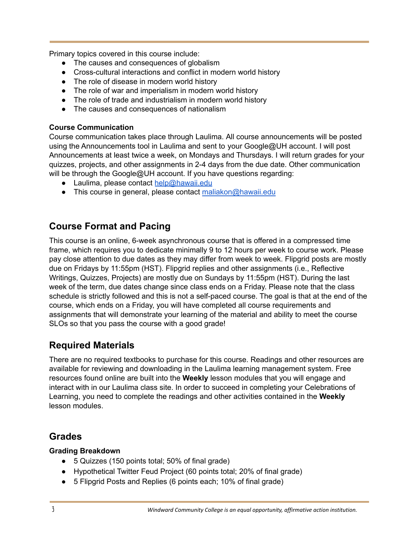Primary topics covered in this course include:

- The causes and consequences of globalism
- Cross-cultural interactions and conflict in modern world history
- The role of disease in modern world history
- The role of war and imperialism in modern world history
- The role of trade and industrialism in modern world history
- The causes and consequences of nationalism

#### **Course Communication**

Course communication takes place through Laulima. All course announcements will be posted using the Announcements tool in Laulima and sent to your Google@UH account. I will post Announcements at least twice a week, on Mondays and Thursdays. I will return grades for your quizzes, projects, and other assignments in 2-4 days from the due date. Other communication will be through the Google@UH account. If you have questions regarding:

- Laulima, please contact [help@hawaii.edu](mailto:help@hawaii.edu)
- This course in general, please contact [maliakon@hawaii.edu](mailto:maliakon@hawaii.edu)

# **Course Format and Pacing**

This course is an online, 6-week asynchronous course that is offered in a compressed time frame, which requires you to dedicate minimally 9 to 12 hours per week to course work. Please pay close attention to due dates as they may differ from week to week. Flipgrid posts are mostly due on Fridays by 11:55pm (HST). Flipgrid replies and other assignments (i.e., Reflective Writings, Quizzes, Projects) are mostly due on Sundays by 11:55pm (HST). During the last week of the term, due dates change since class ends on a Friday. Please note that the class schedule is strictly followed and this is not a self-paced course. The goal is that at the end of the course, which ends on a Friday, you will have completed all course requirements and assignments that will demonstrate your learning of the material and ability to meet the course SLOs so that you pass the course with a good grade!

# **Required Materials**

There are no required textbooks to purchase for this course. Readings and other resources are available for reviewing and downloading in the Laulima learning management system. Free resources found online are built into the **Weekly** lesson modules that you will engage and interact with in our Laulima class site. In order to succeed in completing your Celebrations of Learning, you need to complete the readings and other activities contained in the **Weekly** lesson modules.

# **Grades**

#### **Grading Breakdown**

- 5 Quizzes (150 points total; 50% of final grade)
- Hypothetical Twitter Feud Project (60 points total; 20% of final grade)
- 5 Flipgrid Posts and Replies (6 points each; 10% of final grade)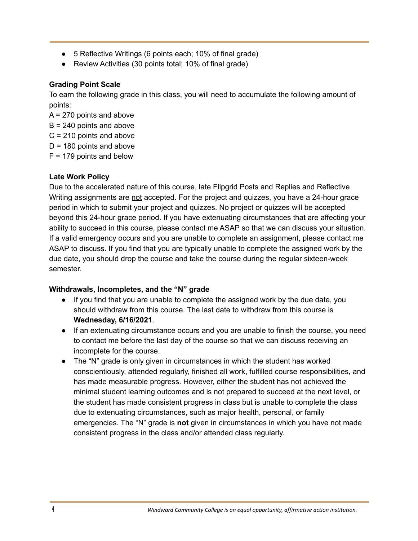- 5 Reflective Writings (6 points each; 10% of final grade)
- Review Activities (30 points total; 10% of final grade)

#### **Grading Point Scale**

To earn the following grade in this class, you will need to accumulate the following amount of points:

 $A = 270$  points and above

- $B = 240$  points and above
- C = 210 points and above
- $D = 180$  points and above
- $F = 179$  points and below

## **Late Work Policy**

Due to the accelerated nature of this course, late Flipgrid Posts and Replies and Reflective Writing assignments are not accepted. For the project and quizzes, you have a 24-hour grace period in which to submit your project and quizzes. No project or quizzes will be accepted beyond this 24-hour grace period. If you have extenuating circumstances that are affecting your ability to succeed in this course, please contact me ASAP so that we can discuss your situation. If a valid emergency occurs and you are unable to complete an assignment, please contact me ASAP to discuss. If you find that you are typically unable to complete the assigned work by the due date, you should drop the course and take the course during the regular sixteen-week semester.

## **Withdrawals, Incompletes, and the "N" grade**

- If you find that you are unable to complete the assigned work by the due date, you should withdraw from this course. The last date to withdraw from this course is **Wednesday, 6/16/2021**.
- If an extenuating circumstance occurs and you are unable to finish the course, you need to contact me before the last day of the course so that we can discuss receiving an incomplete for the course.
- The "N" grade is only given in circumstances in which the student has worked conscientiously, attended regularly, finished all work, fulfilled course responsibilities, and has made measurable progress. However, either the student has not achieved the minimal student learning outcomes and is not prepared to succeed at the next level, or the student has made consistent progress in class but is unable to complete the class due to extenuating circumstances, such as major health, personal, or family emergencies. The "N" grade is **not** given in circumstances in which you have not made consistent progress in the class and/or attended class regularly.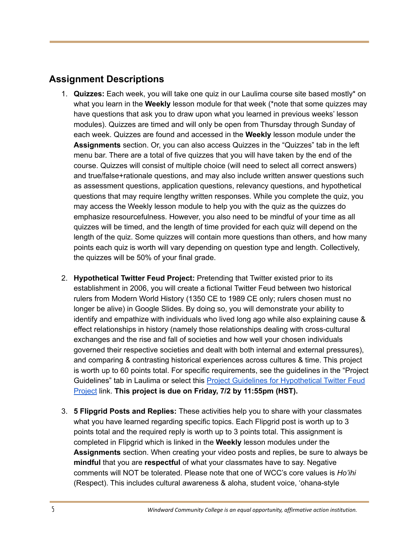# **Assignment Descriptions**

- 1. **Quizzes:** Each week, you will take one quiz in our Laulima course site based mostly\* on what you learn in the **Weekly** lesson module for that week (\*note that some quizzes may have questions that ask you to draw upon what you learned in previous weeks' lesson modules). Quizzes are timed and will only be open from Thursday through Sunday of each week. Quizzes are found and accessed in the **Weekly** lesson module under the **Assignments** section. Or, you can also access Quizzes in the "Quizzes" tab in the left menu bar. There are a total of five quizzes that you will have taken by the end of the course. Quizzes will consist of multiple choice (will need to select all correct answers) and true/false+rationale questions, and may also include written answer questions such as assessment questions, application questions, relevancy questions, and hypothetical questions that may require lengthy written responses. While you complete the quiz, you may access the Weekly lesson module to help you with the quiz as the quizzes do emphasize resourcefulness. However, you also need to be mindful of your time as all quizzes will be timed, and the length of time provided for each quiz will depend on the length of the quiz. Some quizzes will contain more questions than others, and how many points each quiz is worth will vary depending on question type and length. Collectively, the quizzes will be 50% of your final grade.
- 2. **Hypothetical Twitter Feud Project:** Pretending that Twitter existed prior to its establishment in 2006, you will create a fictional Twitter Feud between two historical rulers from Modern World History (1350 CE to 1989 CE only; rulers chosen must no longer be alive) in Google Slides. By doing so, you will demonstrate your ability to identify and empathize with individuals who lived long ago while also explaining cause & effect relationships in history (namely those relationships dealing with cross-cultural exchanges and the rise and fall of societies and how well your chosen individuals governed their respective societies and dealt with both internal and external pressures), and comparing & contrasting historical experiences across cultures & time. This project is worth up to 60 points total. For specific requirements, see the guidelines in the "Project Guidelines" tab in Laulima or select this Project Guidelines for [Hypothetical](https://docs.google.com/document/d/1E8XOJcbkpu9keziniUkfO2w3hkUspo_6Scx7yumnt6U/edit?usp=sharing) Twitter Feud [Project](https://docs.google.com/document/d/1E8XOJcbkpu9keziniUkfO2w3hkUspo_6Scx7yumnt6U/edit?usp=sharing) link. **This project is due on Friday, 7/2 by 11:55pm (HST).**
- 3. **5 Flipgrid Posts and Replies:** These activities help you to share with your classmates what you have learned regarding specific topics. Each Flipgrid post is worth up to 3 points total and the required reply is worth up to 3 points total. This assignment is completed in Flipgrid which is linked in the **Weekly** lesson modules under the **Assignments** section. When creating your video posts and replies, be sure to always be **mindful** that you are **respectful** of what your classmates have to say. Negative comments will NOT be tolerated. Please note that one of WCC's core values is *Ho'ihi* (Respect). This includes cultural awareness & aloha, student voice, 'ohana-style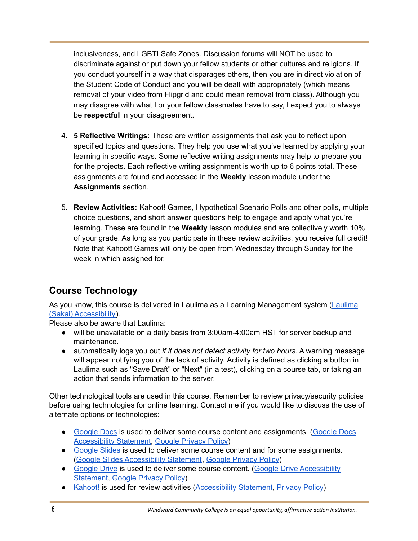inclusiveness, and LGBTI Safe Zones. Discussion forums will NOT be used to discriminate against or put down your fellow students or other cultures and religions. If you conduct yourself in a way that disparages others, then you are in direct violation of the Student Code of Conduct and you will be dealt with appropriately (which means removal of your video from Flipgrid and could mean removal from class). Although you may disagree with what I or your fellow classmates have to say, I expect you to always be **respectful** in your disagreement.

- 4. **5 Reflective Writings:** These are written assignments that ask you to reflect upon specified topics and questions. They help you use what you've learned by applying your learning in specific ways. Some reflective writing assignments may help to prepare you for the projects. Each reflective writing assignment is worth up to 6 points total. These assignments are found and accessed in the **Weekly** lesson module under the **Assignments** section.
- 5. **Review Activities:** Kahoot! Games, Hypothetical Scenario Polls and other polls, multiple choice questions, and short answer questions help to engage and apply what you're learning. These are found in the **Weekly** lesson modules and are collectively worth 10% of your grade. As long as you participate in these review activities, you receive full credit! Note that Kahoot! Games will only be open from Wednesday through Sunday for the week in which assigned for.

# **Course Technology**

As you know, this course is delivered in Laulima as a Learning Management system [\(Laulima](https://confluence.sakaiproject.org/display/2ACC/Accessibility+Working+Group) (Sakai) [Accessibility\)](https://confluence.sakaiproject.org/display/2ACC/Accessibility+Working+Group).

Please also be aware that Laulima:

- will be unavailable on a daily basis from 3:00am-4:00am HST for server backup and maintenance.
- automatically logs you out *if it does not detect activity for two hours*. A warning message will appear notifying you of the lack of activity. Activity is defined as clicking a button in Laulima such as "Save Draft" or "Next" (in a test), clicking on a course tab, or taking an action that sends information to the server.

Other technological tools are used in this course. Remember to review privacy/security policies before using technologies for online learning. Contact me if you would like to discuss the use of alternate options or technologies:

- [Google](https://www.google.com/docs/about/) Docs is used to deliver some course content and assignments. [\(Google](https://services.google.com/fh/files/misc/google_docs_vpat.pdf) Docs [Accessibility](https://services.google.com/fh/files/misc/google_docs_vpat.pdf) Statement, Google [Privacy](https://policies.google.com/privacy?hl=en-US) Policy)
- [Google](https://www.google.com/slides/about/) Slides is used to deliver some course content and for some assignments. (Google Slides [Accessibility](https://www.google.com/slides/about/accessibility/) Statement, Google [Privacy](https://policies.google.com/privacy?hl=en-US) Policy)
- [Google](https://www.google.com/drive/) Drive is used to deliver some course content. (Google Drive [Accessibility](https://services.google.com/fh/files/misc/google_drive_vpat.pdf) [Statement](https://services.google.com/fh/files/misc/google_drive_vpat.pdf), Google [Privacy](https://policies.google.com/privacy?hl=en-US) Policy)
- [Kahoot!](https://kahoot.com/) is used for review activities [\(Accessibility](https://kahoot.com/accessibility-policy/) Statement, [Privacy](https://kahoot.com/privacy-policy/) Policy)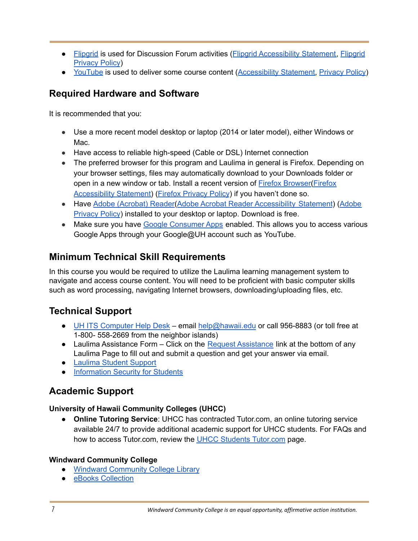- [Flipgrid](https://info.flipgrid.com/) is used for Discussion Forum activities (Flipgrid [Accessibility](https://help.flipgrid.com/hc/en-us/articles/115004848574-Flipgrid-and-Accessibility) Statement, [Flipgrid](https://legal.flipgrid.com/privacy.html) [Privacy](https://legal.flipgrid.com/privacy.html) Policy)
- [YouTube](https://www.youtube.com/) is used to deliver some course content ([Accessibility](https://support.google.com/youtube/answer/189278?hl=en) Statement, [Privacy](https://policies.google.com/privacy?hl=en-US) Policy)

# **Required Hardware and Software**

It is recommended that you:

- Use a more recent model desktop or laptop (2014 or later model), either Windows or Mac.
- Have access to reliable high-speed (Cable or DSL) Internet connection
- The preferred browser for this program and Laulima in general is Firefox. Depending on your browser settings, files may automatically download to your Downloads folder or open in a new window or tab. Install a recent version of Firefox [Browser\(](https://www.mozilla.org/en-US/firefox/new/?xv=priv-dmt&v=1)[Firefox](https://support.mozilla.org/en-US/kb/accessibility-features-firefox-make-firefox-and-we) [Accessibility](https://support.mozilla.org/en-US/kb/accessibility-features-firefox-make-firefox-and-we) Statement) (Firefox [Privacy](https://www.mozilla.org/en-US/privacy/firefox/) Policy) if you haven't done so.
- Have Adobe [\(Acrobat\)](https://get.adobe.com/reader/) Reader(Adobe Acrobat Reader [Accessibility](https://www.adobe.com/accessibility/products/reader.html) Statement) ([Adobe](https://www.adobe.com/privacy/policy.html) [Privacy](https://www.adobe.com/privacy/policy.html) Policy) installed to your desktop or laptop. Download is free.
- Make sure you have Google [Consumer](https://www.hawaii.edu/google/extra/) Apps enabled. This allows you to access various Google Apps through your Google@UH account such as YouTube.

# **Minimum Technical Skill Requirements**

In this course you would be required to utilize the Laulima learning management system to navigate and access course content. You will need to be proficient with basic computer skills such as word processing, navigating Internet browsers, downloading/uploading files, etc.

# **Technical Support**

- UH ITS [Computer](https://www.hawaii.edu/its/help-desk/) Help Desk email [help@hawaii.edu](mailto:help@hawaii.edu) or call 956-8883 (or toll free at 1-800- 558-2669 from the neighbor islands)
- Laulima [Assistance](https://www.hawaii.edu/simp/laulima-feedback.php) Form Click on the Request Assistance link at the bottom of any Laulima Page to fill out and submit a question and get your answer via email.
- [Laulima](http://www.hawaii.edu/talent/laulima_students.htm) Student Support
- [Information](https://www.hawaii.edu/infosec/students/) Security for Students

# **Academic Support**

#### **University of Hawaii Community Colleges (UHCC)**

● **Online Tutoring Service**: UHCC has contracted Tutor.com, an online tutoring service available 24/7 to provide additional academic support for UHCC students. For FAQs and how to access [Tutor.com](https://www.hawaii.edu/tutor/), review the UHCC Students Tutor.com page.

#### **Windward Community College**

- **●** Windward [Community](http://library.wcc.hawaii.edu/home) College Library
- **●** eBooks [Collection](http://library.wcc.hawaii.edu/home/books)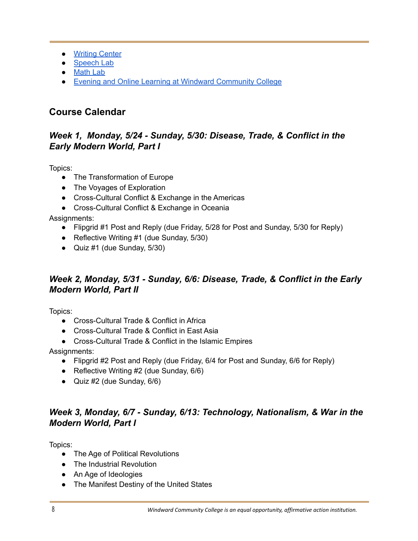- **●** [Writing](https://windward.hawaii.edu/services-for-students/tutoring/ka-piko/writing-center/) Center
- [Speech](https://windward.hawaii.edu/services-for-students/tutoring/ka-piko/speech-lab/) Lab
- **●** [Math](https://windward.hawaii.edu/services-for-students/tutoring/ka-piko/math-lab/) Lab
- **●** Evening and Online Learning at Windward [Community](https://windward.hawaii.edu/programs-of-study/evening-online-education/) College

# **Course Calendar**

## *Week 1, Monday, 5/24 - Sunday, 5/30: Disease, Trade, & Conflict in the Early Modern World, Part I*

Topics:

- The Transformation of Europe
- The Voyages of Exploration
- Cross-Cultural Conflict & Exchange in the Americas
- Cross-Cultural Conflict & Exchange in Oceania

Assignments:

- Flipgrid #1 Post and Reply (due Friday, 5/28 for Post and Sunday, 5/30 for Reply)
- Reflective Writing #1 (due Sunday, 5/30)
- Quiz #1 (due Sunday, 5/30)

## *Week 2, Monday, 5/31 - Sunday, 6/6: Disease, Trade, & Conflict in the Early Modern World, Part II*

Topics:

- Cross-Cultural Trade & Conflict in Africa
- Cross-Cultural Trade & Conflict in East Asia
- Cross-Cultural Trade & Conflict in the Islamic Empires

Assignments:

- Flipgrid #2 Post and Reply (due Friday, 6/4 for Post and Sunday, 6/6 for Reply)
- Reflective Writing #2 (due Sunday, 6/6)
- Quiz #2 (due Sunday, 6/6)

# *Week 3, Monday, 6/7 - Sunday, 6/13: Technology, Nationalism, & War in the Modern World, Part I*

Topics:

- The Age of Political Revolutions
- The Industrial Revolution
- An Age of Ideologies
- The Manifest Destiny of the United States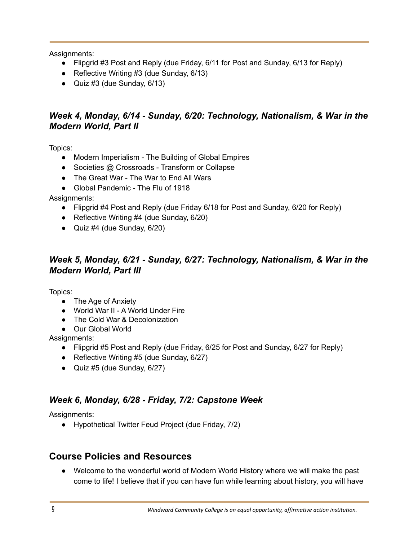Assignments:

- Flipgrid #3 Post and Reply (due Friday, 6/11 for Post and Sunday, 6/13 for Reply)
- Reflective Writing  $#3$  (due Sunday,  $6/13$ )
- Quiz  $#3$  (due Sunday,  $6/13$ )

## *Week 4, Monday, 6/14 - Sunday, 6/20: Technology, Nationalism, & War in the Modern World, Part II*

Topics:

- Modern Imperialism The Building of Global Empires
- Societies @ Crossroads Transform or Collapse
- The Great War The War to End All Wars
- Global Pandemic The Flu of 1918

Assignments:

- Flipgrid #4 Post and Reply (due Friday 6/18 for Post and Sunday, 6/20 for Reply)
- Reflective Writing #4 (due Sunday, 6/20)
- Quiz  $#4$  (due Sunday,  $6/20$ )

## *Week 5, Monday, 6/21 - Sunday, 6/27: Technology, Nationalism, & War in the Modern World, Part III*

Topics:

- The Age of Anxiety
- World War II A World Under Fire
- The Cold War & Decolonization
- Our Global World

Assignments:

- Flipgrid #5 Post and Reply (due Friday, 6/25 for Post and Sunday, 6/27 for Reply)
- Reflective Writing  $#5$  (due Sunday,  $6/27$ )
- Quiz #5 (due Sunday, 6/27)

# *Week 6, Monday, 6/28 - Friday, 7/2: Capstone Week*

Assignments:

● Hypothetical Twitter Feud Project (due Friday, 7/2)

# **Course Policies and Resources**

● Welcome to the wonderful world of Modern World History where we will make the past come to life! I believe that if you can have fun while learning about history, you will have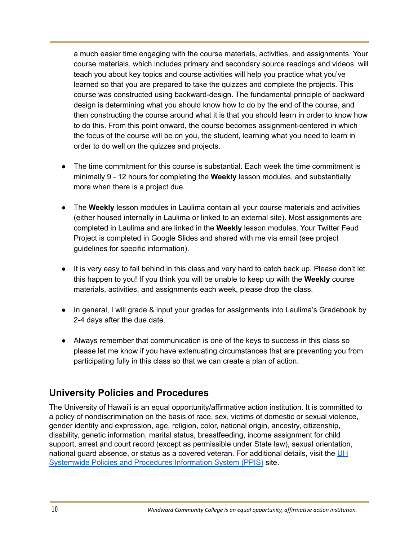a much easier time engaging with the course materials, activities, and assignments. Your course materials, which includes primary and secondary source readings and videos, will teach you about key topics and course activities will help you practice what you've learned so that you are prepared to take the quizzes and complete the projects. This course was constructed using backward-design. The fundamental principle of backward design is determining what you should know how to do by the end of the course, and then constructing the course around what it is that you should learn in order to know how to do this. From this point onward, the course becomes assignment-centered in which the focus of the course will be on you, the student, learning what you need to learn in order to do well on the quizzes and projects.

- The time commitment for this course is substantial. Each week the time commitment is minimally 9 - 12 hours for completing the **Weekly** lesson modules, and substantially more when there is a project due.
- The **Weekly** lesson modules in Laulima contain all your course materials and activities (either housed internally in Laulima or linked to an external site). Most assignments are completed in Laulima and are linked in the **Weekly** lesson modules. Your Twitter Feud Project is completed in Google Slides and shared with me via email (see project guidelines for specific information).
- It is very easy to fall behind in this class and very hard to catch back up. Please don't let this happen to you! If you think you will be unable to keep up with the **Weekly** course materials, activities, and assignments each week, please drop the class.
- In general, I will grade & input your grades for assignments into Laulima's Gradebook by 2-4 days after the due date.
- Always remember that communication is one of the keys to success in this class so please let me know if you have extenuating circumstances that are preventing you from participating fully in this class so that we can create a plan of action.

# **University Policies and Procedures**

The University of Hawai'i is an equal opportunity/affirmative action institution. It is committed to a policy of nondiscrimination on the basis of race, sex, victims of domestic or sexual violence, gender identity and expression, age, religion, color, national origin, ancestry, citizenship, disability, genetic information, marital status, breastfeeding, income assignment for child support, arrest and court record (except as permissible under State law), sexual orientation, national guard absence, or status as a covered veteran. For additional details, visit the [UH](https://www.hawaii.edu/policy/) [Systemwide](https://www.hawaii.edu/policy/) Policies and Procedures Information System (PPIS) site.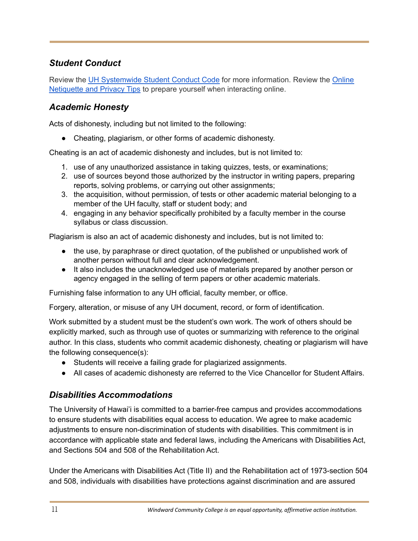# *Student Conduct*

Review the UH [Systemwide](https://www.hawaii.edu/policy/index.php?action=viewPolicy&policySection=ep&policyChapter=7&policyNumber=208&menuView=closed) Student Conduct Code for more information. Review the [Online](https://docs.google.com/document/d/1ny9HksxP-t2D3tdWck-Ftx8XD8lmhMaqMWgxY7aAUkQ/edit?usp=sharing) [Netiquette](https://docs.google.com/document/d/1ny9HksxP-t2D3tdWck-Ftx8XD8lmhMaqMWgxY7aAUkQ/edit?usp=sharing) and Privacy Tips to prepare yourself when interacting online.

## *Academic Honesty*

Acts of dishonesty, including but not limited to the following:

● Cheating, plagiarism, or other forms of academic dishonesty.

Cheating is an act of academic dishonesty and includes, but is not limited to:

- 1. use of any unauthorized assistance in taking quizzes, tests, or examinations;
- 2. use of sources beyond those authorized by the instructor in writing papers, preparing reports, solving problems, or carrying out other assignments;
- 3. the acquisition, without permission, of tests or other academic material belonging to a member of the UH faculty, staff or student body; and
- 4. engaging in any behavior specifically prohibited by a faculty member in the course syllabus or class discussion.

Plagiarism is also an act of academic dishonesty and includes, but is not limited to:

- the use, by paraphrase or direct quotation, of the published or unpublished work of another person without full and clear acknowledgement.
- It also includes the unacknowledged use of materials prepared by another person or agency engaged in the selling of term papers or other academic materials.

Furnishing false information to any UH official, faculty member, or office.

Forgery, alteration, or misuse of any UH document, record, or form of identification.

Work submitted by a student must be the student's own work. The work of others should be explicitly marked, such as through use of quotes or summarizing with reference to the original author. In this class, students who commit academic dishonesty, cheating or plagiarism will have the following consequence(s):

- Students will receive a failing grade for plagiarized assignments.
- All cases of academic dishonesty are referred to the Vice Chancellor for Student Affairs.

## *Disabilities Accommodations*

The University of Hawai'i is committed to a barrier-free campus and provides accommodations to ensure students with disabilities equal access to education. We agree to make academic adjustments to ensure non-discrimination of students with disabilities. This commitment is in accordance with applicable state and federal laws, including the Americans with Disabilities Act, and Sections 504 and 508 of the Rehabilitation Act.

Under the Americans with Disabilities Act (Title II) and the Rehabilitation act of 1973-section 504 and 508, individuals with disabilities have protections against discrimination and are assured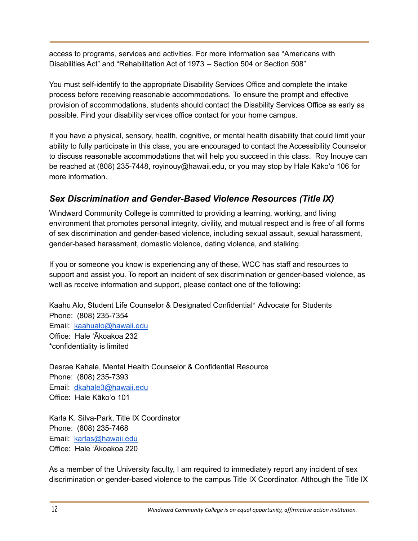access to programs, services and activities. For more information see "Americans with Disabilities Act" and "Rehabilitation Act of 1973 – Section 504 or Section 508".

You must self-identify to the appropriate Disability Services Office and complete the intake process before receiving reasonable accommodations. To ensure the prompt and effective provision of accommodations, students should contact the Disability Services Office as early as possible. Find your disability services office contact for your home campus.

If you have a physical, sensory, health, cognitive, or mental health disability that could limit your ability to fully participate in this class, you are encouraged to contact the Accessibility Counselor to discuss reasonable accommodations that will help you succeed in this class. Roy Inouye can be reached at (808) 235-7448, royinouy@hawaii.edu, or you may stop by Hale Kāko'o 106 for more information.

# *Sex Discrimination and Gender-Based Violence Resources (Title IX)*

Windward Community College is committed to providing a learning, working, and living environment that promotes personal integrity, civility, and mutual respect and is free of all forms of sex discrimination and gender-based violence, including sexual assault, sexual harassment, gender-based harassment, domestic violence, dating violence, and stalking.

If you or someone you know is experiencing any of these, WCC has staff and resources to support and assist you. To report an incident of sex discrimination or gender-based violence, as well as receive information and support, please contact one of the following:

Kaahu Alo, Student Life Counselor & Designated Confidential\* Advocate for Students Phone: (808) 235-7354 Email: [kaahualo@hawaii.edu](mailto:kaahualo@hawaii.edu) Office: Hale ʻĀkoakoa 232 \*confidentiality is limited

Desrae Kahale, Mental Health Counselor & Confidential Resource Phone: (808) 235-7393 Email: [dkahale3@hawaii.edu](mailto:dkahale3@hawaii.edu) Office: Hale Kāko'o 101

Karla K. Silva-Park, Title IX Coordinator Phone: (808) 235-7468 Email: [karlas@hawaii.edu](mailto:karlas@hawaii.edu) Office: Hale ʻĀkoakoa 220

As a member of the University faculty, I am required to immediately report any incident of sex discrimination or gender-based violence to the campus Title IX Coordinator. Although the Title IX